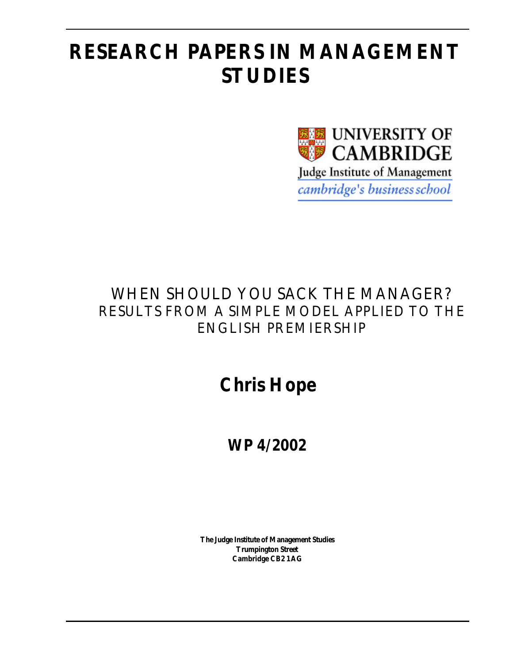# **RESEARCH PAPERS IN MANAGEMENT STUDIES**



# WHEN SHOULD YOU SACK THE MANAGER? RESULTS FROM A SIMPLE MODEL APPLIED TO THE ENGLISH PREMIERSHIP

# **Chris Hope**

# **WP 4/2002**

**The Judge Institute of Management Studies Trumpington Street Cambridge CB2 1AG**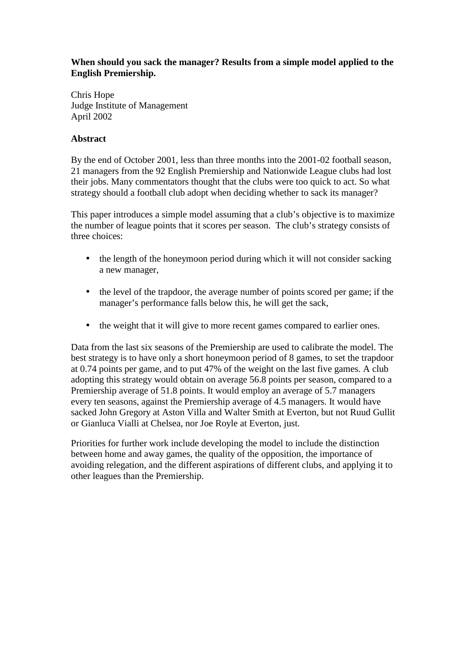### **When should you sack the manager? Results from a simple model applied to the English Premiership.**

Chris Hope Judge Institute of Management April 2002

## **Abstract**

By the end of October 2001, less than three months into the 2001-02 football season, 21 managers from the 92 English Premiership and Nationwide League clubs had lost their jobs. Many commentators thought that the clubs were too quick to act. So what strategy should a football club adopt when deciding whether to sack its manager?

This paper introduces a simple model assuming that a club's objective is to maximize the number of league points that it scores per season. The club's strategy consists of three choices:

- the length of the honeymoon period during which it will not consider sacking a new manager,
- the level of the trapdoor, the average number of points scored per game; if the manager's performance falls below this, he will get the sack,
- the weight that it will give to more recent games compared to earlier ones.

Data from the last six seasons of the Premiership are used to calibrate the model. The best strategy is to have only a short honeymoon period of 8 games, to set the trapdoor at 0.74 points per game, and to put 47% of the weight on the last five games. A club adopting this strategy would obtain on average 56.8 points per season, compared to a Premiership average of 51.8 points. It would employ an average of 5.7 managers every ten seasons, against the Premiership average of 4.5 managers. It would have sacked John Gregory at Aston Villa and Walter Smith at Everton, but not Ruud Gullit or Gianluca Vialli at Chelsea, nor Joe Royle at Everton, just.

Priorities for further work include developing the model to include the distinction between home and away games, the quality of the opposition, the importance of avoiding relegation, and the different aspirations of different clubs, and applying it to other leagues than the Premiership.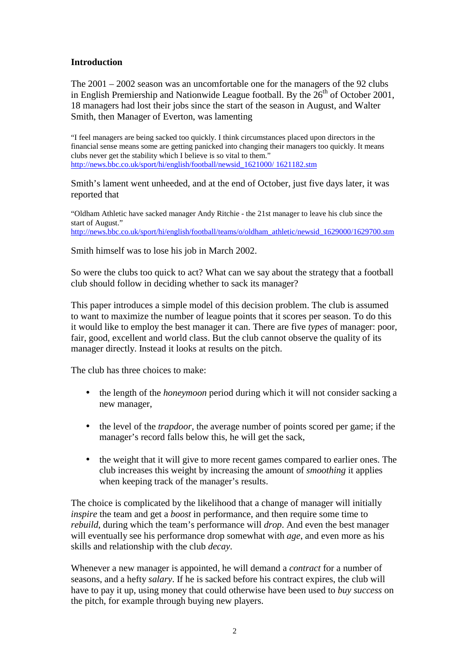#### **Introduction**

The  $2001 - 2002$  season was an uncomfortable one for the managers of the 92 clubs in English Premiership and Nationwide League football. By the  $26<sup>th</sup>$  of October 2001, 18 managers had lost their jobs since the start of the season in August, and Walter Smith, then Manager of Everton, was lamenting

"I feel managers are being sacked too quickly. I think circumstances placed upon directors in the financial sense means some are getting panicked into changing their managers too quickly. It means clubs never get the stability which I believe is so vital to them." http://news.bbc.co.uk/sport/hi/english/football/newsid\_1621000/ 1621182.stm

Smith's lament went unheeded, and at the end of October, just five days later, it was reported that

"Oldham Athletic have sacked manager Andy Ritchie - the 21st manager to leave his club since the start of August." http://news.bbc.co.uk/sport/hi/english/football/teams/o/oldham\_athletic/newsid\_1629000/1629700.stm

Smith himself was to lose his job in March 2002.

So were the clubs too quick to act? What can we say about the strategy that a football club should follow in deciding whether to sack its manager?

This paper introduces a simple model of this decision problem. The club is assumed to want to maximize the number of league points that it scores per season. To do this it would like to employ the best manager it can. There are five *types* of manager: poor, fair, good, excellent and world class. But the club cannot observe the quality of its manager directly. Instead it looks at results on the pitch.

The club has three choices to make:

- the length of the *honeymoon* period during which it will not consider sacking a new manager,
- the level of the *trapdoor*, the average number of points scored per game; if the manager's record falls below this, he will get the sack,
- the weight that it will give to more recent games compared to earlier ones. The club increases this weight by increasing the amount of *smoothing* it applies when keeping track of the manager's results.

The choice is complicated by the likelihood that a change of manager will initially *inspire* the team and get a *boost* in performance, and then require some time to *rebuild*, during which the team's performance will *drop*. And even the best manager will eventually see his performance drop somewhat with *age*, and even more as his skills and relationship with the club *decay*.

Whenever a new manager is appointed, he will demand a *contract* for a number of seasons, and a hefty *salary*. If he is sacked before his contract expires, the club will have to pay it up, using money that could otherwise have been used to *buy success* on the pitch, for example through buying new players.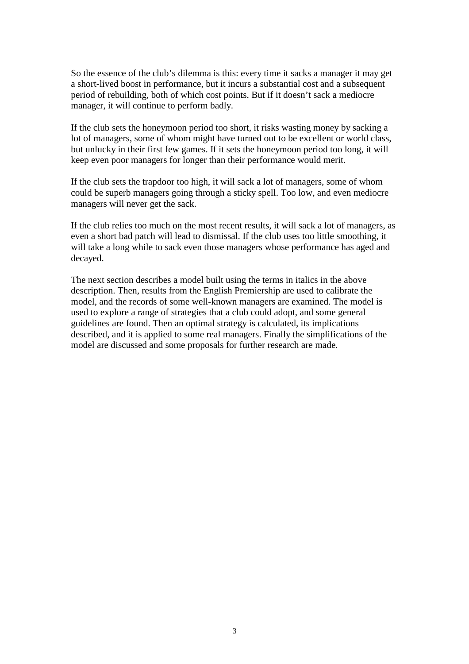So the essence of the club's dilemma is this: every time it sacks a manager it may get a short-lived boost in performance, but it incurs a substantial cost and a subsequent period of rebuilding, both of which cost points. But if it doesn't sack a mediocre manager, it will continue to perform badly.

If the club sets the honeymoon period too short, it risks wasting money by sacking a lot of managers, some of whom might have turned out to be excellent or world class, but unlucky in their first few games. If it sets the honeymoon period too long, it will keep even poor managers for longer than their performance would merit.

If the club sets the trapdoor too high, it will sack a lot of managers, some of whom could be superb managers going through a sticky spell. Too low, and even mediocre managers will never get the sack.

If the club relies too much on the most recent results, it will sack a lot of managers, as even a short bad patch will lead to dismissal. If the club uses too little smoothing, it will take a long while to sack even those managers whose performance has aged and decayed.

The next section describes a model built using the terms in italics in the above description. Then, results from the English Premiership are used to calibrate the model, and the records of some well-known managers are examined. The model is used to explore a range of strategies that a club could adopt, and some general guidelines are found. Then an optimal strategy is calculated, its implications described, and it is applied to some real managers. Finally the simplifications of the model are discussed and some proposals for further research are made.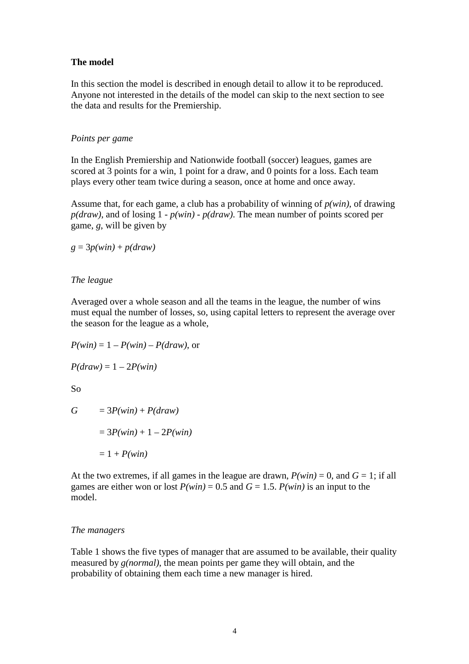#### **The model**

In this section the model is described in enough detail to allow it to be reproduced. Anyone not interested in the details of the model can skip to the next section to see the data and results for the Premiership.

#### *Points per game*

In the English Premiership and Nationwide football (soccer) leagues, games are scored at 3 points for a win, 1 point for a draw, and 0 points for a loss. Each team plays every other team twice during a season, once at home and once away.

Assume that, for each game, a club has a probability of winning of *p(win)*, of drawing *p(draw)*, and of losing 1 - *p(win)* - *p(draw)*. The mean number of points scored per game, *g*, will be given by

 $g = 3p(win) + p(draw)$ 

#### *The league*

Averaged over a whole season and all the teams in the league, the number of wins must equal the number of losses, so, using capital letters to represent the average over the season for the league as a whole,

 $P(\text{win}) = 1 - P(\text{win}) - P(\text{draw})$ , or

 $P(draw) = 1 - 2P(win)$ 

So

$$
G = 3P(\text{win}) + P(\text{draw})
$$

$$
= 3P(\text{win}) + 1 - 2P(\text{win})
$$

$$
= 1 + P(\text{win})
$$

At the two extremes, if all games in the league are drawn,  $P(win) = 0$ , and  $G = 1$ ; if all games are either won or lost  $P(\text{win}) = 0.5$  and  $G = 1.5$ .  $P(\text{win})$  is an input to the model.

#### *The managers*

Table 1 shows the five types of manager that are assumed to be available, their quality measured by *g(normal)*, the mean points per game they will obtain, and the probability of obtaining them each time a new manager is hired.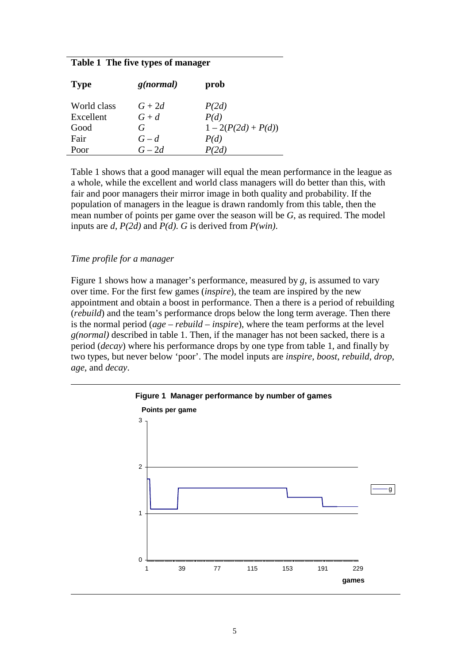#### **Table 1 The five types of manager**

| <b>Type</b> | g(normal) | prob                |
|-------------|-----------|---------------------|
| World class | $G+2d$    | P(2d)               |
| Excellent   | $G+d$     | P(d)                |
| Good        | G         | $1-2(P(2d) + P(d))$ |
| Fair        | $G-d$     | P(d)                |
| Poor        | $G-2d$    | P(2d)               |

Table 1 shows that a good manager will equal the mean performance in the league as a whole, while the excellent and world class managers will do better than this, with fair and poor managers their mirror image in both quality and probability. If the population of managers in the league is drawn randomly from this table, then the mean number of points per game over the season will be *G*, as required. The model inputs are *d*, *P(2d)* and *P(d)*. *G* is derived from *P(win)*.

#### *Time profile for a manager*

Figure 1 shows how a manager's performance, measured by *g*, is assumed to vary over time. For the first few games (*inspire*), the team are inspired by the new appointment and obtain a boost in performance. Then a there is a period of rebuilding (*rebuild*) and the team's performance drops below the long term average. Then there is the normal period (*age* – *rebuild* – *inspire*), where the team performs at the level *g(normal)* described in table 1. Then, if the manager has not been sacked, there is a period (*decay*) where his performance drops by one type from table 1, and finally by two types, but never below 'poor'. The model inputs are *inspire*, *boost*, *rebuild*, *drop*, *age*, and *decay*.

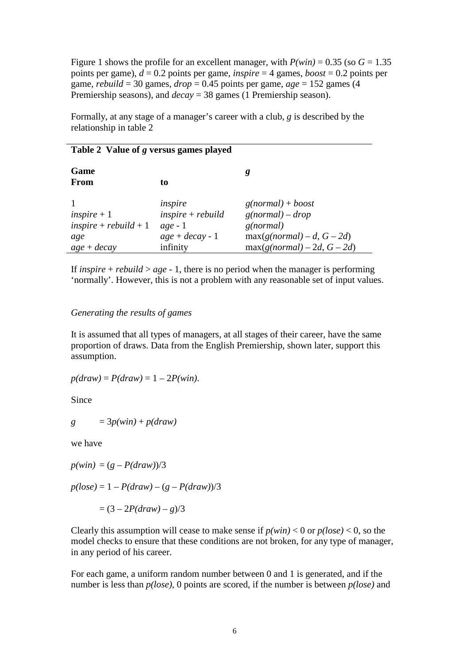Figure 1 shows the profile for an excellent manager, with  $P(win) = 0.35$  (so  $G = 1.35$ ) points per game), *d* = 0.2 points per game, *inspire* = 4 games, *boost* = 0.2 points per game, *rebuild* = 30 games,  $drop = 0.45$  points per game,  $age = 152$  games (4) Premiership seasons), and *decay* = 38 games (1 Premiership season).

Formally, at any stage of a manager's career with a club, *g* is described by the relationship in table 2

#### **Table 2 Value of** *g* **versus games played**

| Game<br><b>From</b>     | to                  | g                             |
|-------------------------|---------------------|-------------------------------|
|                         | inspire             | $g(normal) + boost$           |
| $inspire + 1$           | $inspire + rebuild$ | $g(normal) - drop$            |
| $inspire + rebuild + 1$ | $age - 1$           | g(normal)                     |
| age                     | $age + decay - 1$   | $max(g(normal) - d, G - 2d)$  |
| $age + decay$           | infinity            | $max(g(normal) - 2d, G - 2d)$ |

If *inspire* + *rebuild* > *age* - 1, there is no period when the manager is performing 'normally'. However, this is not a problem with any reasonable set of input values.

#### *Generating the results of games*

It is assumed that all types of managers, at all stages of their career, have the same proportion of draws. Data from the English Premiership, shown later, support this assumption.

 $p(draw) = P(draw) = 1 - 2P(win)$ .

Since

$$
g = 3p(\text{win}) + p(\text{draw})
$$

we have

 $p(win) = (g - P(draw))/3$ 

 $p(log = 1 - P(draw) - (g - P(draw))/3$ 

$$
= (3 - 2P(draw) - g)/3
$$

Clearly this assumption will cease to make sense if  $p(win) < 0$  or  $p(lose) < 0$ , so the model checks to ensure that these conditions are not broken, for any type of manager, in any period of his career.

For each game, a uniform random number between 0 and 1 is generated, and if the number is less than *p(lose)*, 0 points are scored, if the number is between *p(lose)* and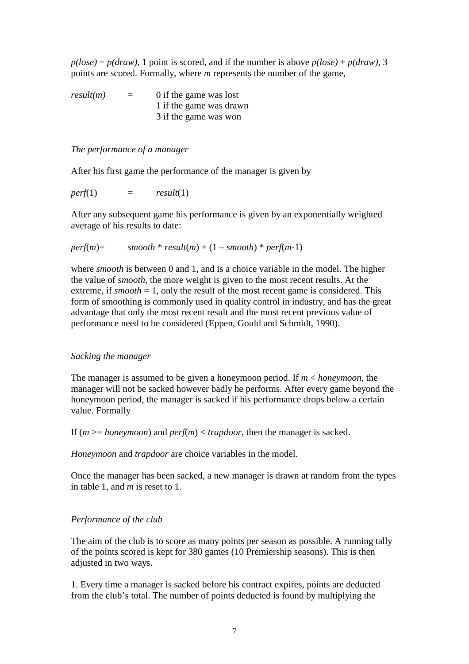$p(loge) + p(draw)$ , 1 point is scored, and if the number is above  $p(loge) + p(draw)$ , 3 points are scored. Formally, where *m* represents the number of the game,

 $result(m)$  = 0 if the game was lost 1 if the game was drawn 3 if the game was won

#### *The performance of a manager*

After his first game the performance of the manager is given by

 $perf(1)$  =  $result(1)$ 

After any subsequent game his performance is given by an exponentially weighted average of his results to date:

```
perf(m) = smooth * result(m) + (1 – smooth) * perf(m-1)
```
where *smooth* is between 0 and 1, and is a choice variable in the model. The higher the value of *smooth*, the more weight is given to the most recent results. At the extreme, if  $smooth = 1$ , only the result of the most recent game is considered. This form of smoothing is commonly used in quality control in industry, and has the great advantage that only the most recent result and the most recent previous value of performance need to be considered (Eppen, Gould and Schmidt, 1990).

#### *Sacking the manager*

The manager is assumed to be given a honeymoon period. If *m* < *honeymoon*, the manager will not be sacked however badly he performs. After every game beyond the honeymoon period, the manager is sacked if his performance drops below a certain value. Formally

If  $(m \geq -honeymoon)$  and  $perf(m) < trapdoor$ , then the manager is sacked.

*Honeymoon* and *trapdoor* are choice variables in the model.

Once the manager has been sacked, a new manager is drawn at random from the types in table 1, and *m* is reset to 1.

#### *Performance of the club*

The aim of the club is to score as many points per season as possible. A running tally of the points scored is kept for 380 games (10 Premiership seasons). This is then adjusted in two ways.

1. Every time a manager is sacked before his contract expires, points are deducted from the club's total. The number of points deducted is found by multiplying the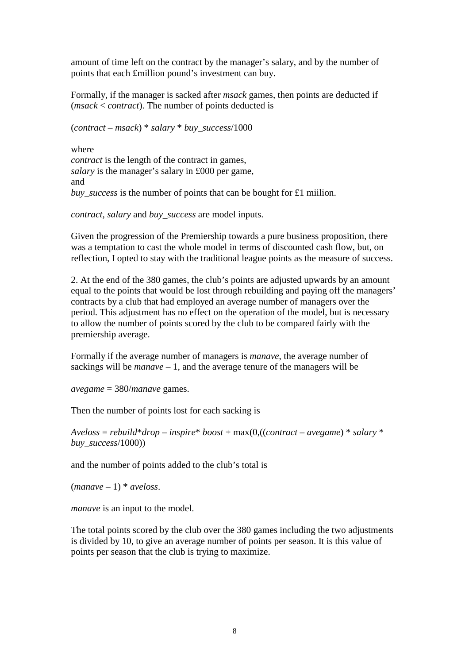amount of time left on the contract by the manager's salary, and by the number of points that each £million pound's investment can buy.

Formally, if the manager is sacked after *msack* games, then points are deducted if (*msack* < *contract*). The number of points deducted is

(*contract* – *msack*) \* *salary* \* *buy\_success*/1000

where *contract* is the length of the contract in games, *salary* is the manager's salary in £000 per game, and *buy success* is the number of points that can be bought for £1 miilion.

*contract*, *salary* and *buy\_success* are model inputs.

Given the progression of the Premiership towards a pure business proposition, there was a temptation to cast the whole model in terms of discounted cash flow, but, on reflection, I opted to stay with the traditional league points as the measure of success.

2. At the end of the 380 games, the club's points are adjusted upwards by an amount equal to the points that would be lost through rebuilding and paying off the managers' contracts by a club that had employed an average number of managers over the period. This adjustment has no effect on the operation of the model, but is necessary to allow the number of points scored by the club to be compared fairly with the premiership average.

Formally if the average number of managers is *manave*, the average number of sackings will be *manave* – 1, and the average tenure of the managers will be

*avegame* = 380/*manave* games.

Then the number of points lost for each sacking is

*Aveloss* = *rebuild*\**drop* – *inspire*\* *boost* + max(0,((*contract* – *avegame*) \* *salary* \* *buy\_success*/1000))

and the number of points added to the club's total is

 $(maxwe-1) * aveloss.$ 

*manave* is an input to the model.

The total points scored by the club over the 380 games including the two adjustments is divided by 10, to give an average number of points per season. It is this value of points per season that the club is trying to maximize.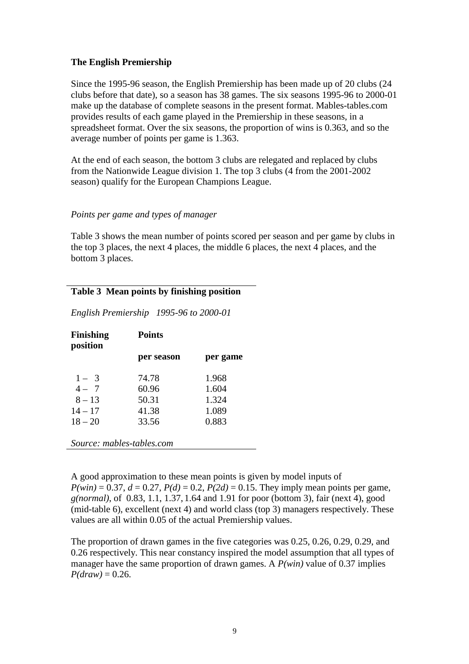#### **The English Premiership**

Since the 1995-96 season, the English Premiership has been made up of 20 clubs (24 clubs before that date), so a season has 38 games. The six seasons 1995-96 to 2000-01 make up the database of complete seasons in the present format. Mables-tables.com provides results of each game played in the Premiership in these seasons, in a spreadsheet format. Over the six seasons, the proportion of wins is 0.363, and so the average number of points per game is 1.363.

At the end of each season, the bottom 3 clubs are relegated and replaced by clubs from the Nationwide League division 1. The top 3 clubs (4 from the 2001-2002 season) qualify for the European Champions League.

#### *Points per game and types of manager*

Table 3 shows the mean number of points scored per season and per game by clubs in the top 3 places, the next 4 places, the middle 6 places, the next 4 places, and the bottom 3 places.

## **Table 3 Mean points by finishing position**

*English Premiership 1995-96 to 2000-01* 

| <b>Points</b> |          |
|---------------|----------|
| per season    | per game |
| 74.78         | 1.968    |
| 60.96         | 1.604    |
| 50.31         | 1.324    |
| 41.38         | 1.089    |
| 33.56         | 0.883    |
|               |          |
|               |          |

*Source: mables-tables.com*

A good approximation to these mean points is given by model inputs of  $P(win) = 0.37$ ,  $d = 0.27$ ,  $P(d) = 0.2$ ,  $P(2d) = 0.15$ . They imply mean points per game, *g(normal)*, of 0.83, 1.1, 1.37, 1.64 and 1.91 for poor (bottom 3), fair (next 4), good (mid-table 6), excellent (next 4) and world class (top 3) managers respectively. These values are all within 0.05 of the actual Premiership values.

The proportion of drawn games in the five categories was 0.25, 0.26, 0.29, 0.29, and 0.26 respectively. This near constancy inspired the model assumption that all types of manager have the same proportion of drawn games. A *P(win)* value of 0.37 implies  $P(draw) = 0.26$ .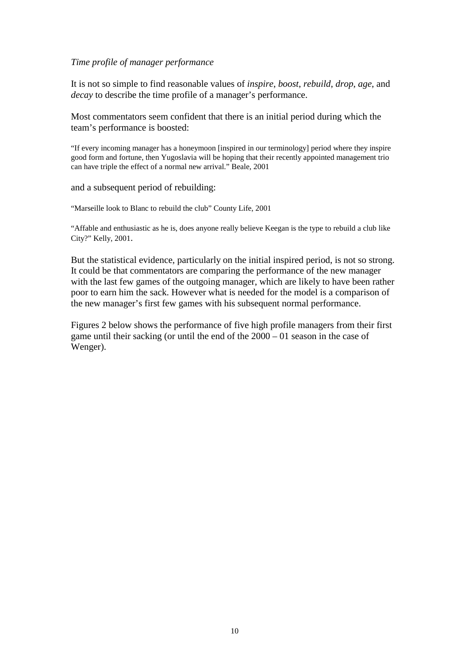#### *Time profile of manager performance*

It is not so simple to find reasonable values of *inspire*, *boost*, *rebuild*, *drop*, *age*, and *decay* to describe the time profile of a manager's performance.

Most commentators seem confident that there is an initial period during which the team's performance is boosted:

"If every incoming manager has a honeymoon [inspired in our terminology] period where they inspire good form and fortune, then Yugoslavia will be hoping that their recently appointed management trio can have triple the effect of a normal new arrival." Beale, 2001

and a subsequent period of rebuilding:

"Marseille look to Blanc to rebuild the club" County Life, 2001

"Affable and enthusiastic as he is, does anyone really believe Keegan is the type to rebuild a club like City?" Kelly, 2001.

But the statistical evidence, particularly on the initial inspired period, is not so strong. It could be that commentators are comparing the performance of the new manager with the last few games of the outgoing manager, which are likely to have been rather poor to earn him the sack. However what is needed for the model is a comparison of the new manager's first few games with his subsequent normal performance.

Figures 2 below shows the performance of five high profile managers from their first game until their sacking (or until the end of the 2000 – 01 season in the case of Wenger).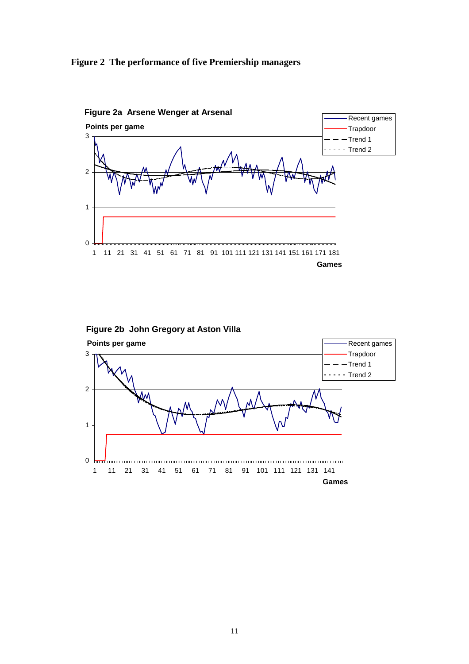





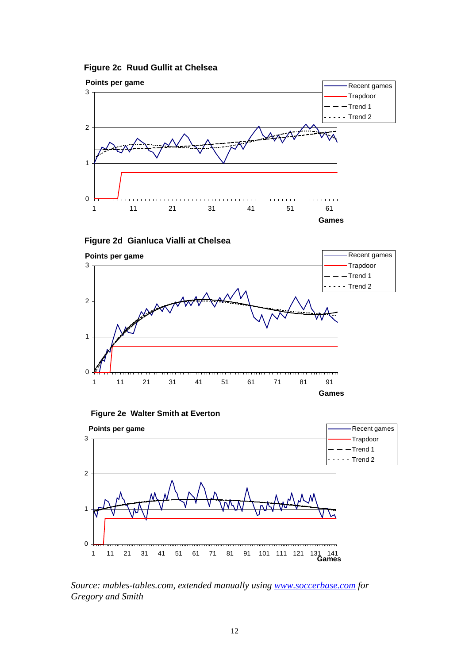**Figure 2c Ruud Gullit at Chelsea**



**Figure 2d Gianluca Vialli at Chelsea**



**Figure 2e Walter Smith at Everton**



*Source: mables-tables.com, extended manually using www.soccerbase.com for Gregory and Smith*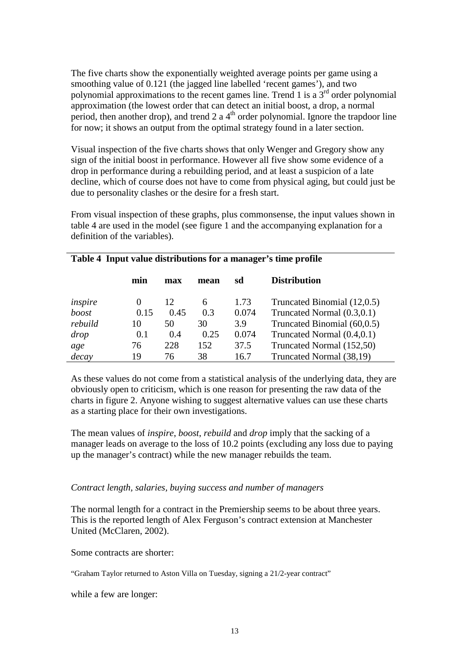The five charts show the exponentially weighted average points per game using a smoothing value of 0.121 (the jagged line labelled 'recent games'), and two polynomial approximations to the recent games line. Trend 1 is a  $3<sup>rd</sup>$  order polynomial approximation (the lowest order that can detect an initial boost, a drop, a normal period, then another drop), and trend 2 a  $4<sup>th</sup>$  order polynomial. Ignore the trapdoor line for now; it shows an output from the optimal strategy found in a later section.

Visual inspection of the five charts shows that only Wenger and Gregory show any sign of the initial boost in performance. However all five show some evidence of a drop in performance during a rebuilding period, and at least a suspicion of a late decline, which of course does not have to come from physical aging, but could just be due to personality clashes or the desire for a fresh start.

From visual inspection of these graphs, plus commonsense, the input values shown in table 4 are used in the model (see figure 1 and the accompanying explanation for a definition of the variables).

|         | min      | max  | mean | sd    | <b>Distribution</b>         |
|---------|----------|------|------|-------|-----------------------------|
| inspire | $\theta$ | 12   | 6    | 1.73  | Truncated Binomial (12,0.5) |
| boost   | 0.15     | 0.45 | 0.3  | 0.074 | Truncated Normal (0.3,0.1)  |
| rebuild | 10       | 50   | 30   | 3.9   | Truncated Binomial (60,0.5) |
| drop    | 0.1      | 0.4  | 0.25 | 0.074 | Truncated Normal (0.4,0.1)  |
| age     | 76       | 228  | 152  | 37.5  | Truncated Normal (152,50)   |
| decay   | 19       | 76   | 38   | 16.7  | Truncated Normal (38,19)    |

#### **Table 4 Input value distributions for a manager's time profile**

As these values do not come from a statistical analysis of the underlying data, they are obviously open to criticism, which is one reason for presenting the raw data of the charts in figure 2. Anyone wishing to suggest alternative values can use these charts as a starting place for their own investigations.

The mean values of *inspire*, *boost*, *rebuild* and *drop* imply that the sacking of a manager leads on average to the loss of 10.2 points (excluding any loss due to paying up the manager's contract) while the new manager rebuilds the team.

#### *Contract length, salaries, buying success and number of managers*

The normal length for a contract in the Premiership seems to be about three years. This is the reported length of Alex Ferguson's contract extension at Manchester United (McClaren, 2002).

Some contracts are shorter:

"Graham Taylor returned to Aston Villa on Tuesday, signing a 21/2-year contract"

while a few are longer: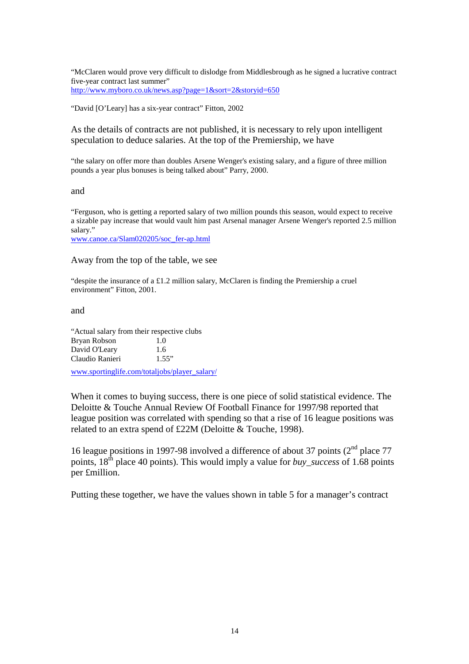"McClaren would prove very difficult to dislodge from Middlesbrough as he signed a lucrative contract five-year contract last summer" http://www.myboro.co.uk/news.asp?page=1&sort=2&storyid=650

"David [O'Leary] has a six-year contract" Fitton, 2002

As the details of contracts are not published, it is necessary to rely upon intelligent speculation to deduce salaries. At the top of the Premiership, we have

"the salary on offer more than doubles Arsene Wenger's existing salary, and a figure of three million pounds a year plus bonuses is being talked about" Parry, 2000.

and

"Ferguson, who is getting a reported salary of two million pounds this season, would expect to receive a sizable pay increase that would vault him past Arsenal manager Arsene Wenger's reported 2.5 million salary."

www.canoe.ca/Slam020205/soc\_fer-ap.html

Away from the top of the table, we see

"despite the insurance of a £1.2 million salary, McClaren is finding the Premiership a cruel environment" Fitton, 2001.

and

"Actual salary from their respective clubs Bryan Robson 1.0 David O'Leary 1.6 Claudio Ranieri 1.55"

www.sportinglife.com/totaljobs/player\_salary/

When it comes to buying success, there is one piece of solid statistical evidence. The Deloitte & Touche Annual Review Of Football Finance for 1997/98 reported that league position was correlated with spending so that a rise of 16 league positions was related to an extra spend of £22M (Deloitte & Touche, 1998).

16 league positions in 1997-98 involved a difference of about 37 points  $(2^{nd}$  place 77 points,  $18<sup>th</sup>$  place 40 points). This would imply a value for *buy* success of 1.68 points per £million.

Putting these together, we have the values shown in table 5 for a manager's contract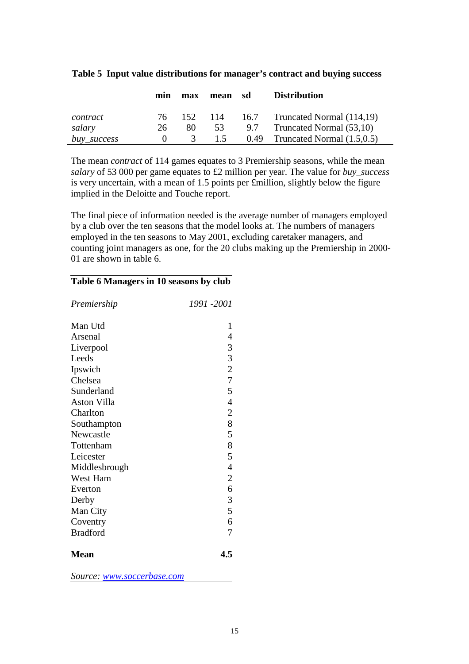|             | mın  | max           | mean sd | <b>Distribution</b>                  |
|-------------|------|---------------|---------|--------------------------------------|
| contract    | 76 — | 152           |         | 114 16.7 Truncated Normal $(114,19)$ |
| salary      | 26   | 80            | 53      | 9.7 Truncated Normal (53,10)         |
| buy_success |      | $\mathcal{R}$ | 1.5     | 0.49 Truncated Normal $(1.5,0.5)$    |

#### **Table 5 Input value distributions for manager's contract and buying success**

The mean *contract* of 114 games equates to 3 Premiership seasons, while the mean *salary* of 53 000 per game equates to £2 million per year. The value for *buy\_success* is very uncertain, with a mean of 1.5 points per £million, slightly below the figure implied in the Deloitte and Touche report.

The final piece of information needed is the average number of managers employed by a club over the ten seasons that the model looks at. The numbers of managers employed in the ten seasons to May 2001, excluding caretaker managers, and counting joint managers as one, for the 20 clubs making up the Premiership in 2000- 01 are shown in table 6.

| Premiership        | 1991 -2001     |
|--------------------|----------------|
| Man Utd            | 1              |
| Arsenal            | 4              |
| Liverpool          | 3              |
| Leeds              | 3              |
| Ipswich            | $\overline{c}$ |
| Chelsea            | $\overline{7}$ |
| Sunderland         | 5              |
| <b>Aston Villa</b> | 4              |
| Charlton           | $\overline{c}$ |
| Southampton        | 8              |
| Newcastle          | 5              |
| Tottenham          | 8              |
| Leicester          | 5              |
| Middlesbrough      | 4              |
| West Ham           | $\overline{c}$ |
| Everton            | 6              |
| Derby              | 3              |
| Man City           | 5              |
| Coventry           | 6              |
| <b>Bradford</b>    | 7              |
| <b>Mean</b>        | 4.5            |
| $\mathbf C$<br>1.  |                |

#### **Table 6 Managers in 10 seasons by club**

*Source: www.soccerbase.com*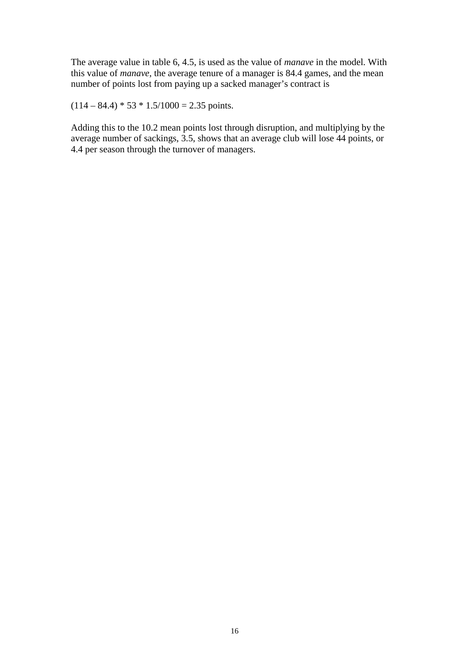The average value in table 6, 4.5, is used as the value of *manave* in the model. With this value of *manave*, the average tenure of a manager is 84.4 games, and the mean number of points lost from paying up a sacked manager's contract is

 $(114 – 84.4) * 53 * 1.5/1000 = 2.35$  points.

Adding this to the 10.2 mean points lost through disruption, and multiplying by the average number of sackings, 3.5, shows that an average club will lose 44 points, or 4.4 per season through the turnover of managers.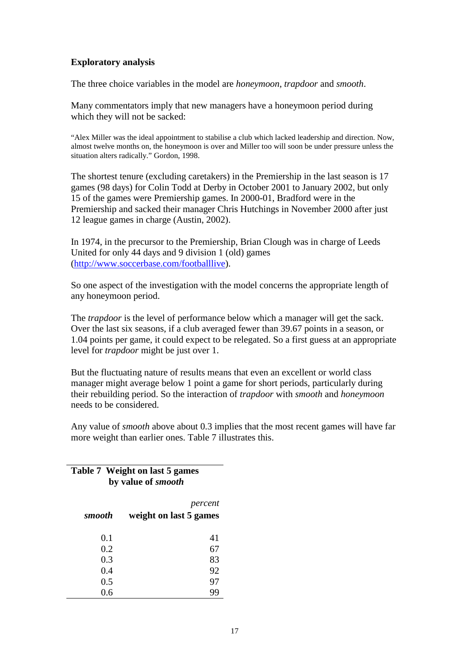### **Exploratory analysis**

The three choice variables in the model are *honeymoon*, *trapdoor* and *smooth*.

Many commentators imply that new managers have a honeymoon period during which they will not be sacked:

"Alex Miller was the ideal appointment to stabilise a club which lacked leadership and direction. Now, almost twelve months on, the honeymoon is over and Miller too will soon be under pressure unless the situation alters radically." Gordon, 1998.

The shortest tenure (excluding caretakers) in the Premiership in the last season is 17 games (98 days) for Colin Todd at Derby in October 2001 to January 2002, but only 15 of the games were Premiership games. In 2000-01, Bradford were in the Premiership and sacked their manager Chris Hutchings in November 2000 after just 12 league games in charge (Austin, 2002).

In 1974, in the precursor to the Premiership, Brian Clough was in charge of Leeds United for only 44 days and 9 division 1 (old) games (http://www.soccerbase.com/footballlive).

So one aspect of the investigation with the model concerns the appropriate length of any honeymoon period.

The *trapdoor* is the level of performance below which a manager will get the sack. Over the last six seasons, if a club averaged fewer than 39.67 points in a season, or 1.04 points per game, it could expect to be relegated. So a first guess at an appropriate level for *trapdoor* might be just over 1.

But the fluctuating nature of results means that even an excellent or world class manager might average below 1 point a game for short periods, particularly during their rebuilding period. So the interaction of *trapdoor* with *smooth* and *honeymoon* needs to be considered.

Any value of *smooth* above about 0.3 implies that the most recent games will have far more weight than earlier ones. Table 7 illustrates this.

## **Table 7 Weight on last 5 games by value of** *smooth*

| smooth | percent<br>weight on last 5 games |
|--------|-----------------------------------|
| 0.1    | 41                                |
| 0.2    | 67                                |
| 0.3    | 83                                |
| 0.4    | 92                                |
| 0.5    | 97                                |
| 0.6    |                                   |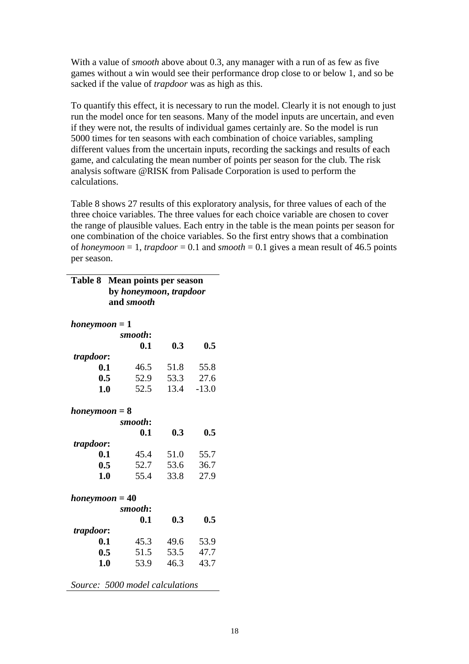With a value of *smooth* above about 0.3, any manager with a run of as few as five games without a win would see their performance drop close to or below 1, and so be sacked if the value of *trapdoor* was as high as this.

To quantify this effect, it is necessary to run the model. Clearly it is not enough to just run the model once for ten seasons. Many of the model inputs are uncertain, and even if they were not, the results of individual games certainly are. So the model is run 5000 times for ten seasons with each combination of choice variables, sampling different values from the uncertain inputs, recording the sackings and results of each game, and calculating the mean number of points per season for the club. The risk analysis software @RISK from Palisade Corporation is used to perform the calculations.

Table 8 shows 27 results of this exploratory analysis, for three values of each of the three choice variables. The three values for each choice variable are chosen to cover the range of plausible values. Each entry in the table is the mean points per season for one combination of the choice variables. So the first entry shows that a combination of *honeymoon* = 1, *trapdoor* = 0.1 and *smooth* = 0.1 gives a mean result of 46.5 points per season.

| <b>Table 8</b>                  | Mean points per season               |      |         |
|---------------------------------|--------------------------------------|------|---------|
|                                 | by honeymoon, trapdoor<br>and smooth |      |         |
|                                 |                                      |      |         |
| $honeymoon = 1$                 |                                      |      |         |
|                                 | smooth:                              |      |         |
|                                 | 0.1                                  | 0.3  | 0.5     |
| trapdoor:                       |                                      |      |         |
| 0.1                             | 46.5                                 | 51.8 | 55.8    |
| 0.5                             | 52.9                                 | 53.3 | 27.6    |
| 1.0                             | 52.5                                 | 13.4 | $-13.0$ |
|                                 |                                      |      |         |
| $honeymoon = 8$                 |                                      |      |         |
|                                 | smooth:                              |      |         |
|                                 | 0.1                                  | 0.3  | 0.5     |
| trapdoor:                       |                                      |      |         |
| 0.1                             | 45.4                                 | 51.0 | 55.7    |
| 0.5                             | 52.7                                 | 53.6 | 36.7    |
| 1.0                             | 55.4                                 | 33.8 | 27.9    |
|                                 |                                      |      |         |
| $honeymoon = 40$                |                                      |      |         |
|                                 | smooth:                              |      |         |
|                                 | 0.1                                  | 0.3  | 0.5     |
| trapdoor:                       |                                      |      |         |
| 0.1                             | 45.3                                 | 49.6 | 53.9    |
| 0.5                             | 51.5                                 | 53.5 | 47.7    |
| 1.0                             | 53.9                                 | 46.3 | 43.7    |
| Source: 5000 model calculations |                                      |      |         |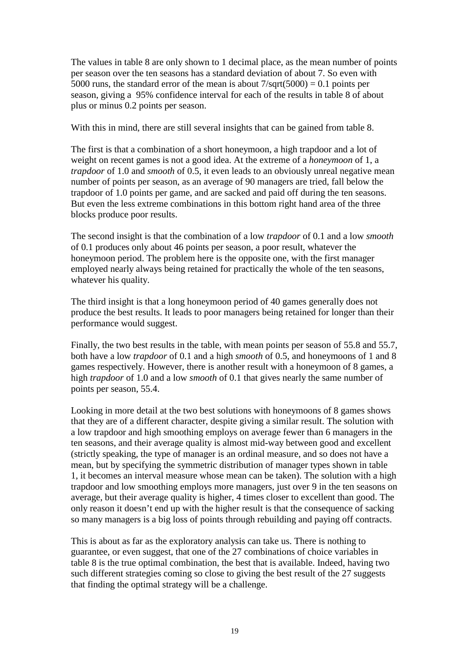The values in table 8 are only shown to 1 decimal place, as the mean number of points per season over the ten seasons has a standard deviation of about 7. So even with 5000 runs, the standard error of the mean is about  $7/\text{sqrt}(5000) = 0.1$  points per season, giving a 95% confidence interval for each of the results in table 8 of about plus or minus 0.2 points per season.

With this in mind, there are still several insights that can be gained from table 8.

The first is that a combination of a short honeymoon, a high trapdoor and a lot of weight on recent games is not a good idea. At the extreme of a *honeymoon* of 1, a *trapdoor* of 1.0 and *smooth* of 0.5, it even leads to an obviously unreal negative mean number of points per season, as an average of 90 managers are tried, fall below the trapdoor of 1.0 points per game, and are sacked and paid off during the ten seasons. But even the less extreme combinations in this bottom right hand area of the three blocks produce poor results.

The second insight is that the combination of a low *trapdoor* of 0.1 and a low *smooth* of 0.1 produces only about 46 points per season, a poor result, whatever the honeymoon period. The problem here is the opposite one, with the first manager employed nearly always being retained for practically the whole of the ten seasons, whatever his quality.

The third insight is that a long honeymoon period of 40 games generally does not produce the best results. It leads to poor managers being retained for longer than their performance would suggest.

Finally, the two best results in the table, with mean points per season of 55.8 and 55.7, both have a low *trapdoor* of 0.1 and a high *smooth* of 0.5, and honeymoons of 1 and 8 games respectively. However, there is another result with a honeymoon of 8 games, a high *trapdoor* of 1.0 and a low *smooth* of 0.1 that gives nearly the same number of points per season, 55.4.

Looking in more detail at the two best solutions with honeymoons of 8 games shows that they are of a different character, despite giving a similar result. The solution with a low trapdoor and high smoothing employs on average fewer than 6 managers in the ten seasons, and their average quality is almost mid-way between good and excellent (strictly speaking, the type of manager is an ordinal measure, and so does not have a mean, but by specifying the symmetric distribution of manager types shown in table 1, it becomes an interval measure whose mean can be taken). The solution with a high trapdoor and low smoothing employs more managers, just over 9 in the ten seasons on average, but their average quality is higher, 4 times closer to excellent than good. The only reason it doesn't end up with the higher result is that the consequence of sacking so many managers is a big loss of points through rebuilding and paying off contracts.

This is about as far as the exploratory analysis can take us. There is nothing to guarantee, or even suggest, that one of the 27 combinations of choice variables in table 8 is the true optimal combination, the best that is available. Indeed, having two such different strategies coming so close to giving the best result of the 27 suggests that finding the optimal strategy will be a challenge.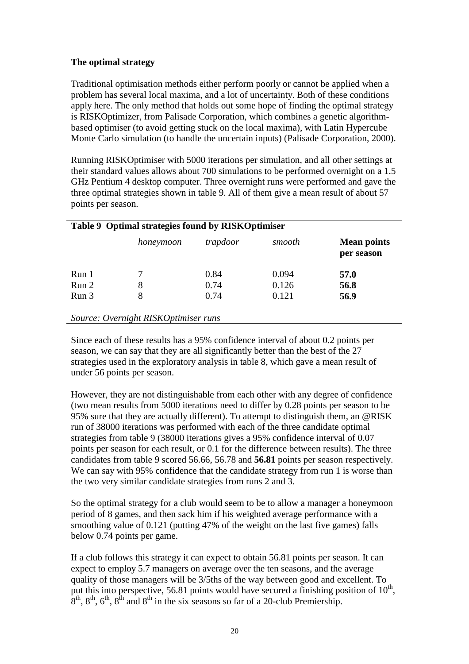## **The optimal strategy**

Traditional optimisation methods either perform poorly or cannot be applied when a problem has several local maxima, and a lot of uncertainty. Both of these conditions apply here. The only method that holds out some hope of finding the optimal strategy is RISKOptimizer, from Palisade Corporation, which combines a genetic algorithmbased optimiser (to avoid getting stuck on the local maxima), with Latin Hypercube Monte Carlo simulation (to handle the uncertain inputs) (Palisade Corporation, 2000).

Running RISKOptimiser with 5000 iterations per simulation, and all other settings at their standard values allows about 700 simulations to be performed overnight on a 1.5 GHz Pentium 4 desktop computer. Three overnight runs were performed and gave the three optimal strategies shown in table 9. All of them give a mean result of about 57 points per season.

|       | Table 9 Optimal strategies found by RISKOptimiser |          |        |                                  |
|-------|---------------------------------------------------|----------|--------|----------------------------------|
|       | honeymoon                                         | trapdoor | smooth | <b>Mean points</b><br>per season |
| Run 1 |                                                   | 0.84     | 0.094  | 57.0                             |
| Run 2 | 8                                                 | 0.74     | 0.126  | 56.8                             |
| Run 3 | 8                                                 | 0.74     | 0.121  | 56.9                             |
|       | Source: Overnight RISKOptimiser runs              |          |        |                                  |

### Since each of these results has a 95% confidence interval of about 0.2 points per season, we can say that they are all significantly better than the best of the 27 strategies used in the exploratory analysis in table 8, which gave a mean result of under 56 points per season.

However, they are not distinguishable from each other with any degree of confidence (two mean results from 5000 iterations need to differ by 0.28 points per season to be 95% sure that they are actually different). To attempt to distinguish them, an @RISK run of 38000 iterations was performed with each of the three candidate optimal strategies from table 9 (38000 iterations gives a 95% confidence interval of 0.07 points per season for each result, or 0.1 for the difference between results). The three candidates from table 9 scored 56.66, 56.78 and **56.81** points per season respectively. We can say with 95% confidence that the candidate strategy from run 1 is worse than the two very similar candidate strategies from runs 2 and 3.

So the optimal strategy for a club would seem to be to allow a manager a honeymoon period of 8 games, and then sack him if his weighted average performance with a smoothing value of 0.121 (putting 47% of the weight on the last five games) falls below 0.74 points per game.

If a club follows this strategy it can expect to obtain 56.81 points per season. It can expect to employ 5.7 managers on average over the ten seasons, and the average quality of those managers will be 3/5ths of the way between good and excellent. To put this into perspective, 56.81 points would have secured a finishing position of  $10^{th}$ .  $8<sup>th</sup>$ ,  $8<sup>th</sup>$ ,  $6<sup>th</sup>$ ,  $8<sup>th</sup>$  and  $8<sup>th</sup>$  in the six seasons so far of a 20-club Premiership.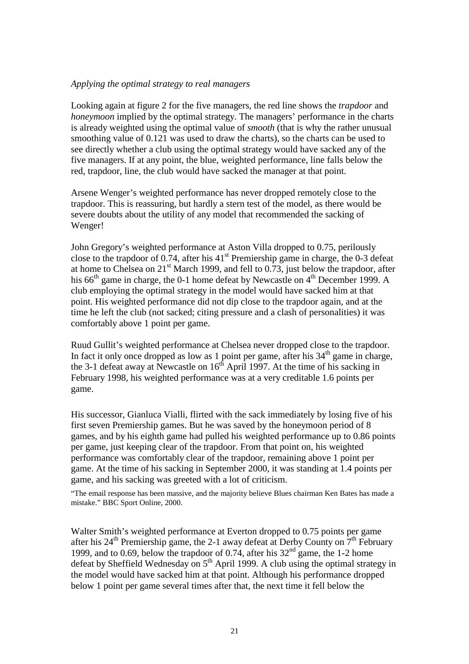#### *Applying the optimal strategy to real managers*

Looking again at figure 2 for the five managers, the red line shows the *trapdoor* and *honeymoon* implied by the optimal strategy. The managers' performance in the charts is already weighted using the optimal value of *smooth* (that is why the rather unusual smoothing value of 0.121 was used to draw the charts), so the charts can be used to see directly whether a club using the optimal strategy would have sacked any of the five managers. If at any point, the blue, weighted performance, line falls below the red, trapdoor, line, the club would have sacked the manager at that point.

Arsene Wenger's weighted performance has never dropped remotely close to the trapdoor. This is reassuring, but hardly a stern test of the model, as there would be severe doubts about the utility of any model that recommended the sacking of Wenger!

John Gregory's weighted performance at Aston Villa dropped to 0.75, perilously close to the trapdoor of  $0.74$ , after his  $41<sup>st</sup>$  Premiership game in charge, the  $0-3$  defeat at home to Chelsea on  $21^{st}$  March 1999, and fell to 0.73, just below the trapdoor, after his  $66<sup>th</sup>$  game in charge, the 0-1 home defeat by Newcastle on  $4<sup>th</sup>$  December 1999. A club employing the optimal strategy in the model would have sacked him at that point. His weighted performance did not dip close to the trapdoor again, and at the time he left the club (not sacked; citing pressure and a clash of personalities) it was comfortably above 1 point per game.

Ruud Gullit's weighted performance at Chelsea never dropped close to the trapdoor. In fact it only once dropped as low as 1 point per game, after his  $34<sup>th</sup>$  game in charge, the 3-1 defeat away at Newcastle on  $16<sup>th</sup>$  April 1997. At the time of his sacking in February 1998, his weighted performance was at a very creditable 1.6 points per game.

His successor, Gianluca Vialli, flirted with the sack immediately by losing five of his first seven Premiership games. But he was saved by the honeymoon period of 8 games, and by his eighth game had pulled his weighted performance up to 0.86 points per game, just keeping clear of the trapdoor. From that point on, his weighted performance was comfortably clear of the trapdoor, remaining above 1 point per game. At the time of his sacking in September 2000, it was standing at 1.4 points per game, and his sacking was greeted with a lot of criticism.

"The email response has been massive, and the majority believe Blues chairman Ken Bates has made a mistake." BBC Sport Online, 2000.

Walter Smith's weighted performance at Everton dropped to 0.75 points per game after his  $24<sup>th</sup>$  Premiership game, the 2-1 away defeat at Derby County on  $7<sup>th</sup>$  February 1999, and to 0.69, below the trapdoor of 0.74, after his  $32<sup>nd</sup>$  game, the 1-2 home defeat by Sheffield Wednesday on  $5<sup>th</sup>$  April 1999. A club using the optimal strategy in the model would have sacked him at that point. Although his performance dropped below 1 point per game several times after that, the next time it fell below the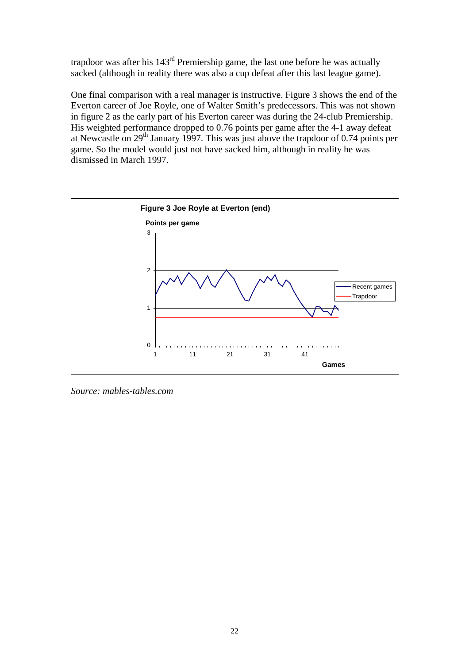trapdoor was after his  $143<sup>rd</sup>$  Premiership game, the last one before he was actually sacked (although in reality there was also a cup defeat after this last league game).

One final comparison with a real manager is instructive. Figure 3 shows the end of the Everton career of Joe Royle, one of Walter Smith's predecessors. This was not shown in figure 2 as the early part of his Everton career was during the 24-club Premiership. His weighted performance dropped to 0.76 points per game after the 4-1 away defeat at Newcastle on 29th January 1997. This was just above the trapdoor of 0.74 points per game. So the model would just not have sacked him, although in reality he was dismissed in March 1997.



*Source: mables-tables.com*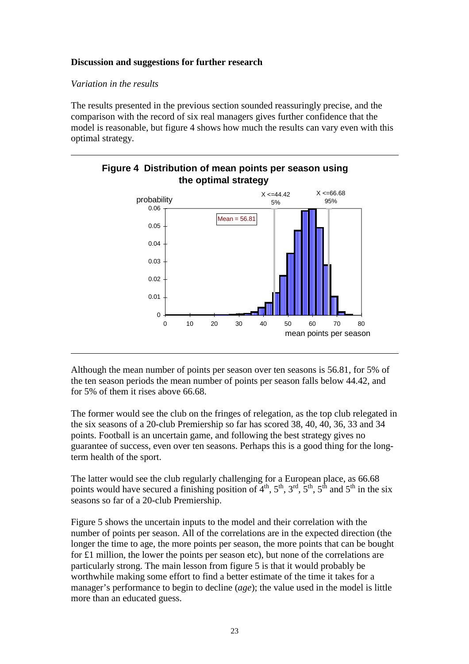#### **Discussion and suggestions for further research**

#### *Variation in the results*

The results presented in the previous section sounded reassuringly precise, and the comparison with the record of six real managers gives further confidence that the model is reasonable, but figure 4 shows how much the results can vary even with this optimal strategy.



## **Figure 4 Distribution of mean points per season using the optimal strategy**

Although the mean number of points per season over ten seasons is 56.81, for 5% of the ten season periods the mean number of points per season falls below 44.42, and for 5% of them it rises above 66.68.

The former would see the club on the fringes of relegation, as the top club relegated in the six seasons of a 20-club Premiership so far has scored 38, 40, 40, 36, 33 and 34 points. Football is an uncertain game, and following the best strategy gives no guarantee of success, even over ten seasons. Perhaps this is a good thing for the longterm health of the sport.

The latter would see the club regularly challenging for a European place, as 66.68 points would have secured a finishing position of  $4<sup>th</sup>$ ,  $5<sup>th</sup>$ ,  $3<sup>rd</sup>$ ,  $5<sup>th</sup>$ ,  $5<sup>th</sup>$  and  $5<sup>th</sup>$  in the six seasons so far of a 20-club Premiership.

Figure 5 shows the uncertain inputs to the model and their correlation with the number of points per season. All of the correlations are in the expected direction (the longer the time to age, the more points per season, the more points that can be bought for £1 million, the lower the points per season etc), but none of the correlations are particularly strong. The main lesson from figure 5 is that it would probably be worthwhile making some effort to find a better estimate of the time it takes for a manager's performance to begin to decline (*age*); the value used in the model is little more than an educated guess.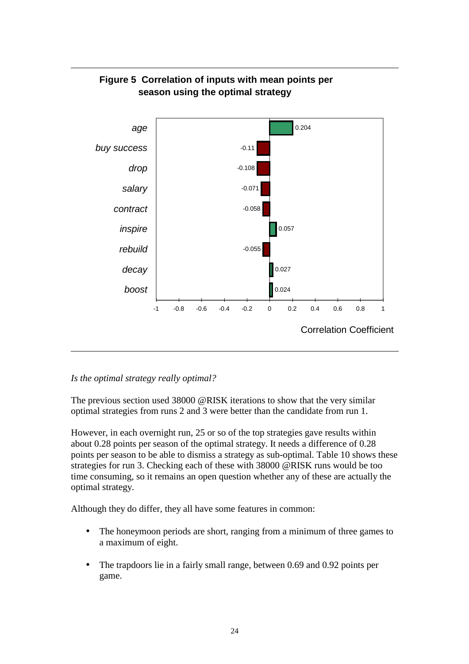

## **Figure 5 Correlation of inputs with mean points per season using the optimal strategy**

## *Is the optimal strategy really optimal?*

The previous section used 38000 @RISK iterations to show that the very similar optimal strategies from runs 2 and 3 were better than the candidate from run 1.

However, in each overnight run, 25 or so of the top strategies gave results within about 0.28 points per season of the optimal strategy. It needs a difference of 0.28 points per season to be able to dismiss a strategy as sub-optimal. Table 10 shows these strategies for run 3. Checking each of these with 38000 @RISK runs would be too time consuming, so it remains an open question whether any of these are actually the optimal strategy.

Although they do differ, they all have some features in common:

- The honeymoon periods are short, ranging from a minimum of three games to a maximum of eight.
- The trapdoors lie in a fairly small range, between 0.69 and 0.92 points per game.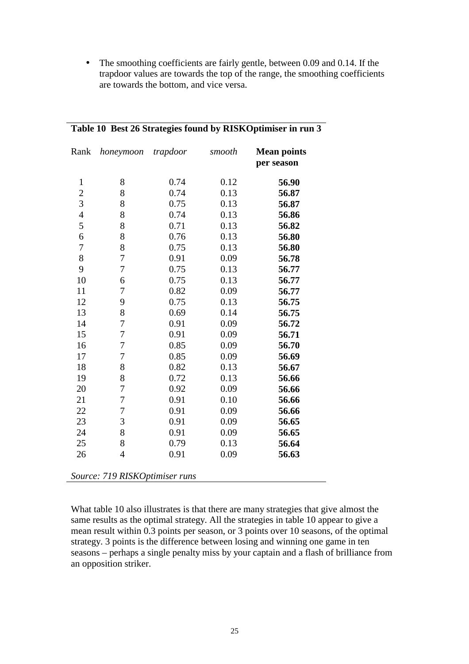• The smoothing coefficients are fairly gentle, between 0.09 and 0.14. If the trapdoor values are towards the top of the range, the smoothing coefficients are towards the bottom, and vice versa.

| Rank             | honeymoon                      | trapdoor | smooth | <b>Mean points</b><br>per season |
|------------------|--------------------------------|----------|--------|----------------------------------|
| $\mathbf{1}$     | 8                              | 0.74     | 0.12   | 56.90                            |
| $\overline{c}$   | 8                              | 0.74     | 0.13   | 56.87                            |
| 3                | 8                              | 0.75     | 0.13   | 56.87                            |
| $\overline{4}$   | 8                              | 0.74     | 0.13   | 56.86                            |
| 5                | 8                              | 0.71     | 0.13   | 56.82                            |
| $\boldsymbol{6}$ | 8                              | 0.76     | 0.13   | 56.80                            |
| $\overline{7}$   | 8                              | 0.75     | 0.13   | 56.80                            |
| 8                | 7                              | 0.91     | 0.09   | 56.78                            |
| 9                | $\overline{7}$                 | 0.75     | 0.13   | 56.77                            |
| 10               | 6                              | 0.75     | 0.13   | 56.77                            |
| 11               | 7                              | 0.82     | 0.09   | 56.77                            |
| 12               | 9                              | 0.75     | 0.13   | 56.75                            |
| 13               | 8                              | 0.69     | 0.14   | 56.75                            |
| 14               | 7                              | 0.91     | 0.09   | 56.72                            |
| 15               | $\overline{7}$                 | 0.91     | 0.09   | 56.71                            |
| 16               | 7                              | 0.85     | 0.09   | 56.70                            |
| 17               | 7                              | 0.85     | 0.09   | 56.69                            |
| 18               | 8                              | 0.82     | 0.13   | 56.67                            |
| 19               | 8                              | 0.72     | 0.13   | 56.66                            |
| 20               | 7                              | 0.92     | 0.09   | 56.66                            |
| 21               | 7                              | 0.91     | 0.10   | 56.66                            |
| 22               | 7                              | 0.91     | 0.09   | 56.66                            |
| 23               | 3                              | 0.91     | 0.09   | 56.65                            |
| 24               | 8                              | 0.91     | 0.09   | 56.65                            |
| 25               | 8                              | 0.79     | 0.13   | 56.64                            |
| 26               | $\overline{4}$                 | 0.91     | 0.09   | 56.63                            |
|                  | Source: 719 RISKOptimiser runs |          |        |                                  |

## **Table 10 Best 26 Strategies found by RISKOptimiser in run 3**

What table 10 also illustrates is that there are many strategies that give almost the same results as the optimal strategy. All the strategies in table 10 appear to give a mean result within 0.3 points per season, or 3 points over 10 seasons, of the optimal strategy. 3 points is the difference between losing and winning one game in ten seasons – perhaps a single penalty miss by your captain and a flash of brilliance from an opposition striker.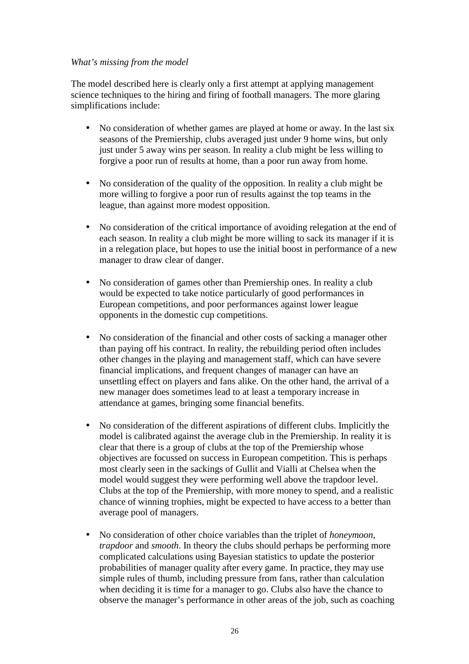#### *What's missing from the model*

The model described here is clearly only a first attempt at applying management science techniques to the hiring and firing of football managers. The more glaring simplifications include:

- No consideration of whether games are played at home or away. In the last six seasons of the Premiership, clubs averaged just under 9 home wins, but only just under 5 away wins per season. In reality a club might be less willing to forgive a poor run of results at home, than a poor run away from home.
- No consideration of the quality of the opposition. In reality a club might be more willing to forgive a poor run of results against the top teams in the league, than against more modest opposition.
- No consideration of the critical importance of avoiding relegation at the end of each season. In reality a club might be more willing to sack its manager if it is in a relegation place, but hopes to use the initial boost in performance of a new manager to draw clear of danger.
- No consideration of games other than Premiership ones. In reality a club would be expected to take notice particularly of good performances in European competitions, and poor performances against lower league opponents in the domestic cup competitions.
- No consideration of the financial and other costs of sacking a manager other than paying off his contract. In reality, the rebuilding period often includes other changes in the playing and management staff, which can have severe financial implications, and frequent changes of manager can have an unsettling effect on players and fans alike. On the other hand, the arrival of a new manager does sometimes lead to at least a temporary increase in attendance at games, bringing some financial benefits.
- No consideration of the different aspirations of different clubs. Implicitly the model is calibrated against the average club in the Premiership. In reality it is clear that there is a group of clubs at the top of the Premiership whose objectives are focussed on success in European competition. This is perhaps most clearly seen in the sackings of Gullit and Vialli at Chelsea when the model would suggest they were performing well above the trapdoor level. Clubs at the top of the Premiership, with more money to spend, and a realistic chance of winning trophies, might be expected to have access to a better than average pool of managers.
- No consideration of other choice variables than the triplet of *honeymoon*, *trapdoor* and *smooth*. In theory the clubs should perhaps be performing more complicated calculations using Bayesian statistics to update the posterior probabilities of manager quality after every game. In practice, they may use simple rules of thumb, including pressure from fans, rather than calculation when deciding it is time for a manager to go. Clubs also have the chance to observe the manager's performance in other areas of the job, such as coaching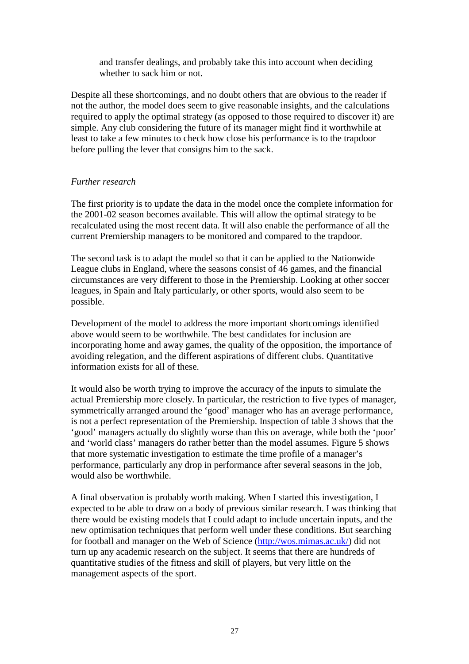and transfer dealings, and probably take this into account when deciding whether to sack him or not.

Despite all these shortcomings, and no doubt others that are obvious to the reader if not the author, the model does seem to give reasonable insights, and the calculations required to apply the optimal strategy (as opposed to those required to discover it) are simple. Any club considering the future of its manager might find it worthwhile at least to take a few minutes to check how close his performance is to the trapdoor before pulling the lever that consigns him to the sack.

### *Further research*

The first priority is to update the data in the model once the complete information for the 2001-02 season becomes available. This will allow the optimal strategy to be recalculated using the most recent data. It will also enable the performance of all the current Premiership managers to be monitored and compared to the trapdoor.

The second task is to adapt the model so that it can be applied to the Nationwide League clubs in England, where the seasons consist of 46 games, and the financial circumstances are very different to those in the Premiership. Looking at other soccer leagues, in Spain and Italy particularly, or other sports, would also seem to be possible.

Development of the model to address the more important shortcomings identified above would seem to be worthwhile. The best candidates for inclusion are incorporating home and away games, the quality of the opposition, the importance of avoiding relegation, and the different aspirations of different clubs. Quantitative information exists for all of these.

It would also be worth trying to improve the accuracy of the inputs to simulate the actual Premiership more closely. In particular, the restriction to five types of manager, symmetrically arranged around the 'good' manager who has an average performance, is not a perfect representation of the Premiership. Inspection of table 3 shows that the 'good' managers actually do slightly worse than this on average, while both the 'poor' and 'world class' managers do rather better than the model assumes. Figure 5 shows that more systematic investigation to estimate the time profile of a manager's performance, particularly any drop in performance after several seasons in the job, would also be worthwhile.

A final observation is probably worth making. When I started this investigation, I expected to be able to draw on a body of previous similar research. I was thinking that there would be existing models that I could adapt to include uncertain inputs, and the new optimisation techniques that perform well under these conditions. But searching for football and manager on the Web of Science (http://wos.mimas.ac.uk/) did not turn up any academic research on the subject. It seems that there are hundreds of quantitative studies of the fitness and skill of players, but very little on the management aspects of the sport.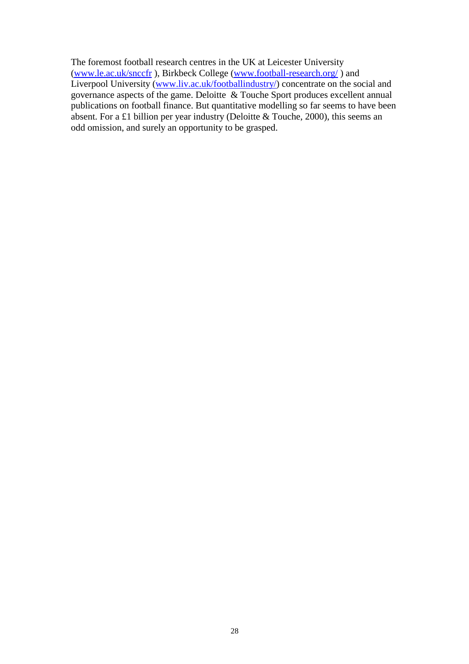The foremost football research centres in the UK at Leicester University (www.le.ac.uk/snccfr ), Birkbeck College (www.football-research.org/ ) and Liverpool University (www.liv.ac.uk/footballindustry/) concentrate on the social and governance aspects of the game. Deloitte & Touche Sport produces excellent annual publications on football finance. But quantitative modelling so far seems to have been absent. For a £1 billion per year industry (Deloitte & Touche, 2000), this seems an odd omission, and surely an opportunity to be grasped.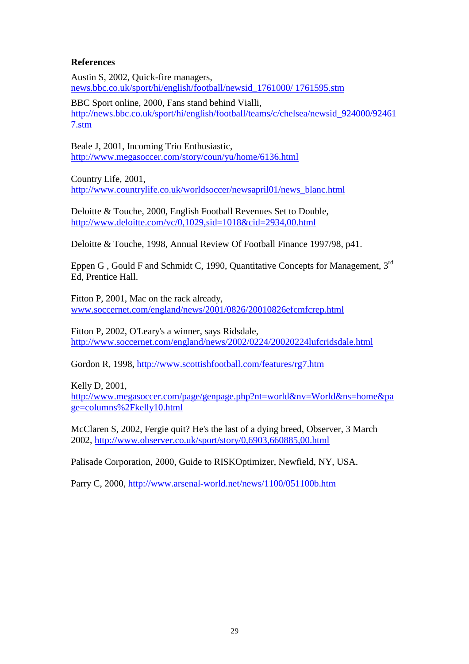### **References**

Austin S, 2002, Quick-fire managers, news.bbc.co.uk/sport/hi/english/football/newsid\_1761000/ 1761595.stm

BBC Sport online, 2000, Fans stand behind Vialli, http://news.bbc.co.uk/sport/hi/english/football/teams/c/chelsea/newsid\_924000/92461 7.stm

Beale J, 2001, Incoming Trio Enthusiastic, http://www.megasoccer.com/story/coun/yu/home/6136.html

Country Life, 2001, http://www.countrylife.co.uk/worldsoccer/newsapril01/news\_blanc.html

Deloitte & Touche, 2000, English Football Revenues Set to Double, http://www.deloitte.com/vc/0,1029,sid=1018&cid=2934,00.html

Deloitte & Touche, 1998, Annual Review Of Football Finance 1997/98, p41.

Eppen G , Gould F and Schmidt C, 1990, Quantitative Concepts for Management, 3rd Ed, Prentice Hall.

Fitton P, 2001, Mac on the rack already, www.soccernet.com/england/news/2001/0826/20010826efcmfcrep.html

Fitton P, 2002, O'Leary's a winner, says Ridsdale, http://www.soccernet.com/england/news/2002/0224/20020224lufcridsdale.html

Gordon R, 1998, http://www.scottishfootball.com/features/rg7.htm

Kelly D, 2001, http://www.megasoccer.com/page/genpage.php?nt=world&nv=World&ns=home&pa ge=columns%2Fkelly10.html

McClaren S, 2002, Fergie quit? He's the last of a dying breed, Observer, 3 March 2002, http://www.observer.co.uk/sport/story/0,6903,660885,00.html

Palisade Corporation, 2000, Guide to RISKOptimizer, Newfield, NY, USA.

Parry C, 2000, http://www.arsenal-world.net/news/1100/051100b.htm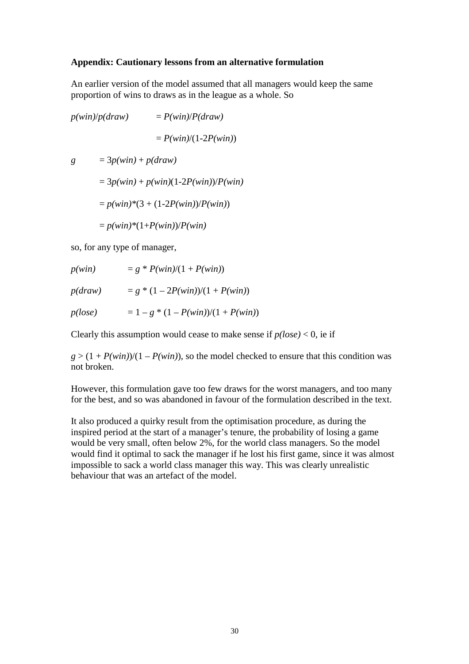#### **Appendix: Cautionary lessons from an alternative formulation**

An earlier version of the model assumed that all managers would keep the same proportion of wins to draws as in the league as a whole. So

 $p(\text{win})/p(\text{draw}) = P(\text{win})/P(\text{draw})$  $= P(win)/(1-2P(win))$  $g = 3p(\text{win}) + p(\text{draw})$  $= 3p(\text{win}) + p(\text{win})(1 - 2P(\text{win}))/P(\text{win})$  $= p(\text{win})*(3 + (1-2P(\text{win}))/P(\text{win}))$  $= p(\text{win}) * (1 + P(\text{win})) / P(\text{win})$ 

so, for any type of manager,

 $p(\text{win}) = g * P(\text{win})/(1 + P(\text{win}))$ 

 $p(draw) = g * (1 - 2P(win))/(1 + P(win))$ 

 $p(loge)$  = 1 – *g* \* (1 – *P(win)*)/(1 + *P(win)*)

Clearly this assumption would cease to make sense if  $p(lose) < 0$ , ie if

 $g > (1 + P(\text{win}))/(1 - P(\text{win}))$ , so the model checked to ensure that this condition was not broken.

However, this formulation gave too few draws for the worst managers, and too many for the best, and so was abandoned in favour of the formulation described in the text.

It also produced a quirky result from the optimisation procedure, as during the inspired period at the start of a manager's tenure, the probability of losing a game would be very small, often below 2%, for the world class managers. So the model would find it optimal to sack the manager if he lost his first game, since it was almost impossible to sack a world class manager this way. This was clearly unrealistic behaviour that was an artefact of the model.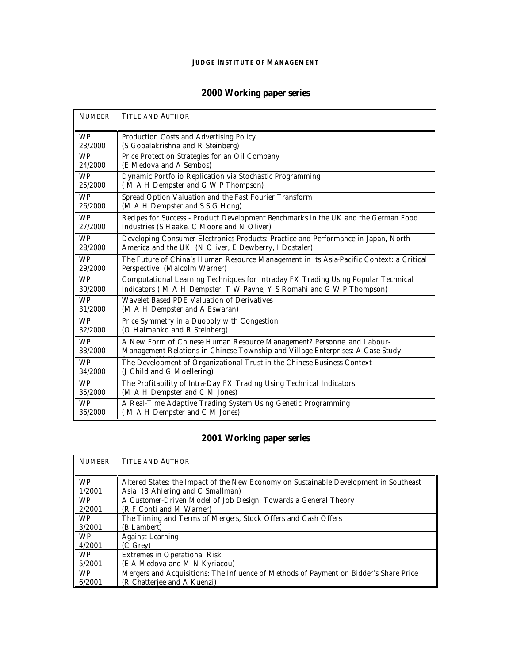#### **JUDGE INSTITUTE OF MANAGEMENT**

## **2000 Working paper series**

| <b>NUMBER</b> | <b>TITLE AND AUTHOR</b>                                                                 |
|---------------|-----------------------------------------------------------------------------------------|
| <b>WP</b>     | Production Costs and Advertising Policy                                                 |
| 23/2000       | (S Gopalakrishna and R Steinberg)                                                       |
| <b>WP</b>     | Price Protection Strategies for an Oil Company                                          |
| 24/2000       | (E Medova and A Sembos)                                                                 |
| <b>WP</b>     | Dynamic Portfolio Replication via Stochastic Programming                                |
| 25/2000       | (MAH Dempster and GWP Thompson)                                                         |
| <b>WP</b>     | Spread Option Valuation and the Fast Fourier Transform                                  |
| 26/2000       | (M A H Dempster and S S G Hong)                                                         |
| <b>WP</b>     | Recipes for Success - Product Development Benchmarks in the UK and the German Food      |
| 27/2000       | Industries (S Haake, C Moore and N Oliver)                                              |
| <b>WP</b>     | Developing Consumer Electronics Products: Practice and Performance in Japan, North      |
| 28/2000       | America and the UK (N Oliver, E Dewberry, I Dostaler)                                   |
| <b>WP</b>     | The Future of China's Human Resource Management in its Asia-Pacific Context: a Critical |
| 29/2000       | Perspective (Malcolm Warner)                                                            |
| <b>WP</b>     | Computational Learning Techniques for Intraday FX Trading Using Popular Technical       |
| 30/2000       | Indicators (MAH Dempster, TW Payne, Y S Romahi and GWP Thompson)                        |
| <b>WP</b>     | Wavelet Based PDE Valuation of Derivatives                                              |
| 31/2000       | (M A H Dempster and A Eswaran)                                                          |
| <b>WP</b>     | Price Symmetry in a Duopoly with Congestion                                             |
| 32/2000       | (O Haimanko and R Steinberg)                                                            |
| <b>WP</b>     | A New Form of Chinese Human Resource Management? Personnel and Labour-                  |
| 33/2000       | Management Relations in Chinese Township and Village Enterprises: A Case Study          |
| <b>WP</b>     | The Development of Organizational Trust in the Chinese Business Context                 |
| 34/2000       | (J Child and G Moellering)                                                              |
| <b>WP</b>     | The Profitability of Intra-Day FX Trading Using Technical Indicators                    |
| 35/2000       | (M A H Dempster and C M Jones)                                                          |
| <b>WP</b>     | A Real-Time Adaptive Trading System Using Genetic Programming                           |
| 36/2000       | (M A H Dempster and C M Jones)                                                          |

## **2001 Working paper series**

| <b>NUMBER</b> | <b>TITLE AND AUTHOR</b>                                                               |
|---------------|---------------------------------------------------------------------------------------|
|               |                                                                                       |
| <b>WP</b>     | Altered States: the Impact of the New Economy on Sustainable Development in Southeast |
| 1/2001        | Asia (B Ahlering and C Smallman)                                                      |
| <b>WP</b>     | A Customer-Driven Model of Job Design: Towards a General Theory                       |
| 2/2001        | (R F Conti and M Warner)                                                              |
| <b>WP</b>     | The Timing and Terms of Mergers, Stock Offers and Cash Offers                         |
| 3/2001        | (B Lambert)                                                                           |
| <b>WP</b>     | <b>Against Learning</b>                                                               |
| 4/2001        | (C Grey)                                                                              |
| <b>WP</b>     | Extremes in Operational Risk                                                          |
| 5/2001        | (E A Medova and M N Kyriacou)                                                         |
| <b>WP</b>     | Mergers and Acquisitions: The Influence of Methods of Payment on Bidder's Share Price |
| 6/2001        | (R Chatterjee and A Kuenzi)                                                           |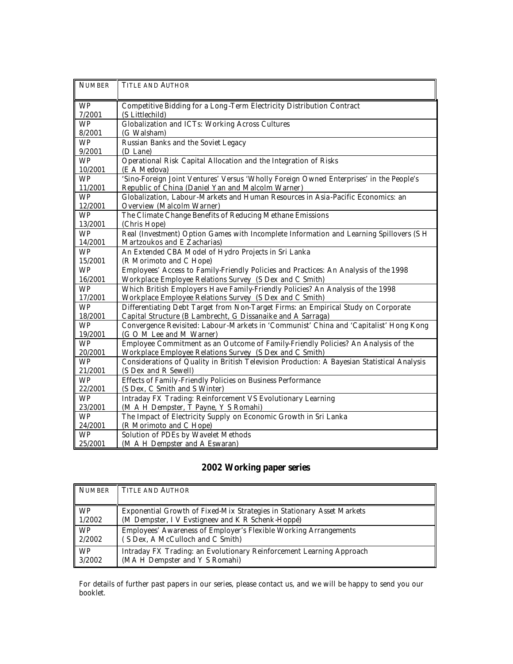| <b>NUMBER</b> | <b>TITLE AND AUTHOR</b>                                                                     |
|---------------|---------------------------------------------------------------------------------------------|
| <b>WP</b>     | Competitive Bidding for a Long-Term Electricity Distribution Contract                       |
| 7/2001        | (S Littlechild)                                                                             |
| <b>WP</b>     | Globalization and ICTs: Working Across Cultures                                             |
| 8/2001        | (G Walsham)                                                                                 |
| <b>WP</b>     | Russian Banks and the Soviet Legacy                                                         |
| 9/2001        | (D Lane)                                                                                    |
| <b>WP</b>     | Operational Risk Capital Allocation and the Integration of Risks                            |
| 10/2001       | (E A Medova)                                                                                |
| <b>WP</b>     | 'Sino-Foreign Joint Ventures' Versus 'Wholly Foreign Owned Enterprises' in the People's     |
| 11/2001       | Republic of China (Daniel Yan and Malcolm Warner)                                           |
| <b>WP</b>     | Globalization, Labour-Markets and Human Resources in Asia-Pacific Economics: an             |
| 12/2001       | Overview (Malcolm Warner)                                                                   |
| <b>WP</b>     | The Climate Change Benefits of Reducing Methane Emissions                                   |
| 13/2001       | (Chris Hope)                                                                                |
| <b>WP</b>     | Real (Investment) Option Games with Incomplete Information and Learning Spillovers (S H     |
| 14/2001       | Martzoukos and E Zacharias)                                                                 |
| <b>WP</b>     | An Extended CBA Model of Hydro Projects in Sri Lanka                                        |
| 15/2001       | (R Morimoto and C Hope)                                                                     |
| <b>WP</b>     | Employees' Access to Family-Friendly Policies and Practices: An Analysis of the 1998        |
| 16/2001       | Workplace Employee Relations Survey (S Dex and C Smith)                                     |
| <b>WP</b>     | Which British Employers Have Family-Friendly Policies? An Analysis of the 1998              |
| 17/2001       | Workplace Employee Relations Survey (S Dex and C Smith)                                     |
| <b>WP</b>     | Differentiating Debt Target from Non-Target Firms: an Empirical Study on Corporate          |
| 18/2001       | Capital Structure (B Lambrecht, G Dissanaike and A Sarraga)                                 |
| <b>WP</b>     | Convergence Revisited: Labour-Markets in 'Communist' China and 'Capitalist' Hong Kong       |
| 19/2001       | (G O M Lee and M Warner)                                                                    |
| <b>WP</b>     | Employee Commitment as an Outcome of Family-Friendly Policies? An Analysis of the           |
| 20/2001       | Workplace Employee Relations Survey (S Dex and C Smith)                                     |
| <b>WP</b>     | Considerations of Quality in British Television Production: A Bayesian Statistical Analysis |
| 21/2001       | (S Dex and R Sewell)                                                                        |
| <b>WP</b>     | Effects of Family-Friendly Policies on Business Performance                                 |
| 22/2001       | (S Dex, C Smith and S Winter)                                                               |
| <b>WP</b>     | Intraday FX Trading: Reinforcement VS Evolutionary Learning                                 |
| 23/2001       | (M A H Dempster, T Payne, Y S Romahi)                                                       |
| <b>WP</b>     | The Impact of Electricity Supply on Economic Growth in Sri Lanka                            |
| 24/2001       | (R Morimoto and C Hope)                                                                     |
| <b>WP</b>     | Solution of PDEs by Wavelet Methods                                                         |
| 25/2001       | (M A H Dempster and A Eswaran)                                                              |

# **2002 Working paper series**

| I NUMBER  | <b>TITLE AND AUTHOR</b>                                                |
|-----------|------------------------------------------------------------------------|
| WP        | Exponential Growth of Fixed-Mix Strategies in Stationary Asset Markets |
| 1/2002    | (M Dempster, I V Evstigneev and K R Schenk-Hoppé)                      |
| <b>WP</b> | Employees' Awareness of Employer's Flexible Working Arrangements       |
| 2/2002    | (S Dex, A McCulloch and C Smith)                                       |
| <b>WP</b> | Intraday FX Trading: an Evolutionary Reinforcement Learning Approach   |
| 3/2002    | (MA H Dempster and Y S Romahi)                                         |

For details of further past papers in our series, please contact us, and we will be happy to send you our booklet.